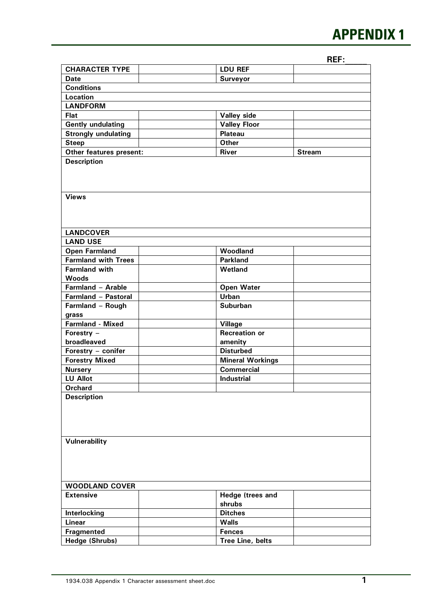## **APPENDIX 1**

**REF:\_\_\_\_\_** 

|                            |  |                            | NEF.          |  |  |  |  |
|----------------------------|--|----------------------------|---------------|--|--|--|--|
| <b>CHARACTER TYPE</b>      |  | <b>LDU REF</b>             |               |  |  |  |  |
| <b>Date</b>                |  | <b>Surveyor</b>            |               |  |  |  |  |
| <b>Conditions</b>          |  |                            |               |  |  |  |  |
| <b>Location</b>            |  |                            |               |  |  |  |  |
| <b>LANDFORM</b>            |  |                            |               |  |  |  |  |
| Flat                       |  | Valley side                |               |  |  |  |  |
| <b>Gently undulating</b>   |  | <b>Valley Floor</b>        |               |  |  |  |  |
| <b>Strongly undulating</b> |  | <b>Plateau</b>             |               |  |  |  |  |
| <b>Steep</b>               |  | <b>Other</b>               |               |  |  |  |  |
| Other features present:    |  | <b>River</b>               | <b>Stream</b> |  |  |  |  |
| <b>Description</b>         |  |                            |               |  |  |  |  |
|                            |  |                            |               |  |  |  |  |
| <b>Views</b>               |  |                            |               |  |  |  |  |
|                            |  |                            |               |  |  |  |  |
|                            |  |                            |               |  |  |  |  |
| <b>LANDCOVER</b>           |  |                            |               |  |  |  |  |
| <b>LAND USE</b>            |  |                            |               |  |  |  |  |
| <b>Open Farmland</b>       |  | Woodland                   |               |  |  |  |  |
| <b>Farmland with Trees</b> |  | <b>Parkland</b>            |               |  |  |  |  |
| <b>Farmland with</b>       |  | Wetland                    |               |  |  |  |  |
| <b>Woods</b>               |  |                            |               |  |  |  |  |
| Farmland - Arable          |  | <b>Open Water</b>          |               |  |  |  |  |
| Farmland - Pastoral        |  | Urban                      |               |  |  |  |  |
| Farmland - Rough           |  | <b>Suburban</b>            |               |  |  |  |  |
| grass                      |  |                            |               |  |  |  |  |
| <b>Farmland - Mixed</b>    |  | <b>Village</b>             |               |  |  |  |  |
| Forestry -                 |  | <b>Recreation or</b>       |               |  |  |  |  |
| broadleaved                |  | amenity                    |               |  |  |  |  |
| Forestry - conifer         |  | <b>Disturbed</b>           |               |  |  |  |  |
| <b>Forestry Mixed</b>      |  | <b>Mineral Workings</b>    |               |  |  |  |  |
| <b>Nursery</b>             |  | <b>Commercial</b>          |               |  |  |  |  |
| <b>LU Allot</b>            |  | <b>Industrial</b>          |               |  |  |  |  |
| <b>Orchard</b>             |  |                            |               |  |  |  |  |
| <b>Description</b>         |  |                            |               |  |  |  |  |
|                            |  |                            |               |  |  |  |  |
|                            |  |                            |               |  |  |  |  |
| <b>Vulnerability</b>       |  |                            |               |  |  |  |  |
|                            |  |                            |               |  |  |  |  |
|                            |  |                            |               |  |  |  |  |
|                            |  |                            |               |  |  |  |  |
|                            |  |                            |               |  |  |  |  |
| <b>WOODLAND COVER</b>      |  |                            |               |  |  |  |  |
| <b>Extensive</b>           |  | Hedge (trees and<br>shrubs |               |  |  |  |  |
| Interlocking               |  | <b>Ditches</b>             |               |  |  |  |  |
| <b>Linear</b>              |  | <b>Walls</b>               |               |  |  |  |  |
| Fragmented                 |  | <b>Fences</b>              |               |  |  |  |  |
| Hedge (Shrubs)             |  | Tree Line, belts           |               |  |  |  |  |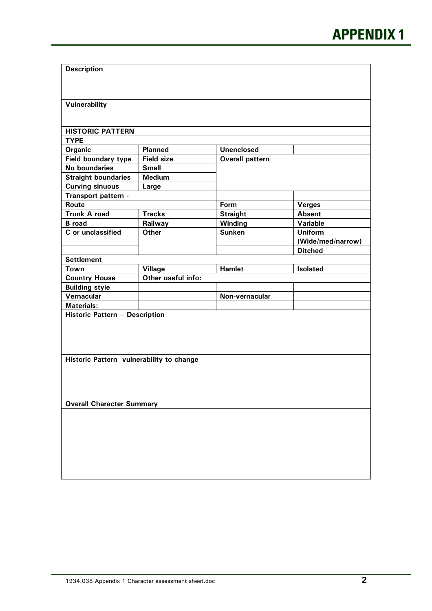| <b>Description</b>                       |                    |                        |                   |  |  |  |
|------------------------------------------|--------------------|------------------------|-------------------|--|--|--|
|                                          |                    |                        |                   |  |  |  |
|                                          |                    |                        |                   |  |  |  |
| Vulnerability                            |                    |                        |                   |  |  |  |
|                                          |                    |                        |                   |  |  |  |
|                                          |                    |                        |                   |  |  |  |
| <b>HISTORIC PATTERN</b>                  |                    |                        |                   |  |  |  |
| <b>TYPE</b>                              |                    |                        |                   |  |  |  |
| Organic                                  | <b>Planned</b>     | <b>Unenclosed</b>      |                   |  |  |  |
| Field boundary type                      | <b>Field size</b>  | <b>Overall pattern</b> |                   |  |  |  |
| No boundaries                            | <b>Small</b>       |                        |                   |  |  |  |
| <b>Straight boundaries</b>               | <b>Medium</b>      |                        |                   |  |  |  |
| <b>Curving sinuous</b>                   | Large              |                        |                   |  |  |  |
| Transport pattern -                      |                    |                        |                   |  |  |  |
| Route                                    |                    | Form                   | <b>Verges</b>     |  |  |  |
| <b>Trunk A road</b>                      | <b>Tracks</b>      | <b>Straight</b>        | <b>Absent</b>     |  |  |  |
| <b>B</b> road                            | Railway            | Winding                | Variable          |  |  |  |
| C or unclassified                        | <b>Other</b>       | <b>Sunken</b>          | <b>Uniform</b>    |  |  |  |
|                                          |                    |                        | (Wide/med/narrow) |  |  |  |
|                                          |                    |                        | <b>Ditched</b>    |  |  |  |
| <b>Settlement</b>                        |                    |                        |                   |  |  |  |
| Town                                     | <b>Village</b>     | <b>Hamlet</b>          | Isolated          |  |  |  |
| <b>Country House</b>                     | Other useful info: |                        |                   |  |  |  |
| <b>Building style</b>                    |                    |                        |                   |  |  |  |
| Vernacular                               |                    | Non-vernacular         |                   |  |  |  |
| <b>Materials:</b>                        |                    |                        |                   |  |  |  |
| Historic Pattern - Description           |                    |                        |                   |  |  |  |
|                                          |                    |                        |                   |  |  |  |
|                                          |                    |                        |                   |  |  |  |
|                                          |                    |                        |                   |  |  |  |
| Historic Pattern vulnerability to change |                    |                        |                   |  |  |  |
|                                          |                    |                        |                   |  |  |  |
|                                          |                    |                        |                   |  |  |  |
|                                          |                    |                        |                   |  |  |  |
|                                          |                    |                        |                   |  |  |  |
| <b>Overall Character Summary</b>         |                    |                        |                   |  |  |  |
|                                          |                    |                        |                   |  |  |  |
|                                          |                    |                        |                   |  |  |  |
|                                          |                    |                        |                   |  |  |  |
|                                          |                    |                        |                   |  |  |  |
|                                          |                    |                        |                   |  |  |  |
|                                          |                    |                        |                   |  |  |  |
|                                          |                    |                        |                   |  |  |  |
|                                          |                    |                        |                   |  |  |  |